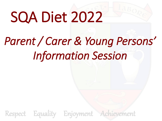# SQA Diet 2022

# *Parent / Carer & Young Persons' Information Session*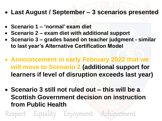- **Last August / September – 3 scenarios presented**
- **Scenario 1 – 'normal' exam diet**
- **Scenario 2 – exam diet with additional support**
- **Scenario 3 – grades based on teacher judgment - similar to last year's Alternative Certification Model**
- **Announcement in early February 2022 that we will move to Scenario 2 (additional support for learners if level of disruption exceeds last year)**
- **Scenario 3 still not ruled out – this will be a Scottish Government decision on instruction from Public Health**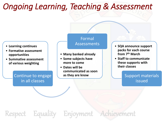# *Ongoing Learning, Teaching & Assessment*

- **Learning continues**
- **Formative assessment opportunities**
- **Summative assessment of various weighting**

### Formal Assessments

- **Many banked already**
- **Some subjects have more to come**
- **Dates will be communicated as soon as they are know**
- **SQA announce support packs for each course from 7th March**
- **Staff to communicate these supports with their classes**

### Support materials issued

Continue to engage in all classes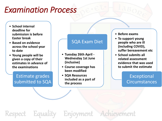# *Examination Process*

- **School internal deadline for submission is before Easter break**
- **Based on evidence across the school year to date**
- **Young people will be given a copy of their estimates in advance of the examinations**

Estimate grades submitted to SQA

### SQA Exam Diet

- **Tuesday 26th April - Wednesday 1st June (inclusive)**
- **Course coverage has been modified**
- **SQA Resources included as a part of the process**
- **Before exams**
- **To support young people who are ill (including COVID), suffer bereavement etc**
- **School submits all related assessment evidence that was used to submit the estimate**

**Exceptional Circumstances**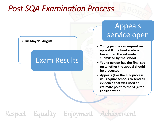# *Post SQA Examination Process*



### Exam Results

# Appeals service open

- **Young people can request an appeal IF the final grade is lower than the estimate submitted by the school**
- **Young person has the final say on whether the appeal should be processed**
- **Appeals (like the ECR process) will require schools to send all evidence that was used at estimate point to the SQA for consideration**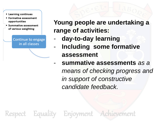- Learning continues
- Formative assessment opportunities
- Summative assessment of various weighting

Continue to engage in all classes

**Young people are undertaking a range of activities:**

- day-to-day learning
- **Including some formative assessment**
- **summative assessments** *as a means of checking progress and in support of constructive candidate feedback.*

ct Equality Enjoyment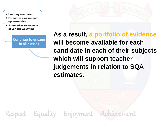- Learning continues
- Formative assessment opportunities
- Summative assessment of various weighting

Continue to engage in all classes



**As a result, a portfolio of evidence will become available for each candidate in each of their subjects which will support teacher judgements in relation to SQA estimates.**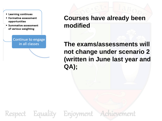- Learning continues
- Formative assessment opportunities
- Summative assessment of various weighting

Continue to engage in all classes

**Courses have already been modified**

**The exams/assessments will not change under scenario 2 (written in June last year and QA);**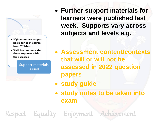

- SQA announce support packs for each course from 7th March
- Staff to communicate these supports with their classes

- **Further support materials for learners were published last week. Supports vary across subjects and levels e.g.**
- **Assessment content/contexts that will or will not be assessed in 2022 question papers**
- **study guide**
- **study notes to be taken into exam**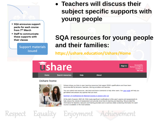

- SQA announce support packs for each course from 7<sup>th</sup> March
- Staff to communicate these supports with their classes

• **Teachers will discuss their subject specific supports with young people**

## **SQA resources for young people and their families:**

**https://ushare.education/Ushare/Home**



#### **Ushare home**



Ushare brings you links to open learning resources that support SQA's qualifications and have been recommended by lecturers, teachers, training providers and learners.

You can submit new resources, rate them and leave comments to help other users. Our user guide will help you get started and answer any queries that you have.

Summary of modifications for National Courses in session 2021-22

Respect Equality Enjoyment Achievement

At the start of session 2021-22, SQA made significant modifications to this year's exams and assessments to help reduce the volume of assessment and provide more time for learning and teaching. We provided this information for teachers, lecturers and training providers and a summary table containing information for each course is available on the SQA website.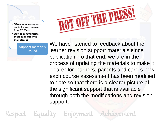- SQA announce support packs for each course from 7<sup>th</sup> March
- Staff to communicate these supports with their classes



We have listened to feedback about the learner revision support materials since publication. To that end, we are in the process of updating the materials to make it clearer for learners, parents and carers how each course assessment has been modified to date so that there is a clearer picture of the significant support that is available through both the modifications and revision support.

ct Equality Enjoyment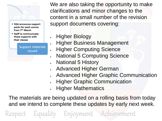

- SQA announce support packs for each course from 7<sup>th</sup> March
- Staff to communicate these supports with their classes

We are also taking the opportunity to make clarifications and minor changes to the content in a small number of the revision support documents covering:

- **Higher Biology**
- **Higher Business Management**
- **Higher Computing Science**
- **National 5 Computing Science**
- National 5 History
- Advanced Higher German
- Advanced Higher Graphic Communication
- **Higher Graphic Communication**
- Higher Mathematics

The materials are being updated on a rolling basis from today and we intend to complete these updates by early next week.

Equality Enjoyment Achievement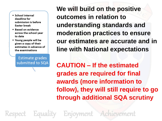- School internal deadline for submission is before **Easter break**
- . Based on evidence across the school year to date
- . Young people will be given a copy of their estimates in advance of the examinations

Estimate grades submitted to SQA **We will build on the positive outcomes in relation to understanding standards and moderation practices to ensure our estimates are accurate and in line with National expectations**

**CAUTION – If the estimated grades are required for final awards (more information to follow), they will still require to go through additional SQA scrutiny**

Equality Enjoyment Achievement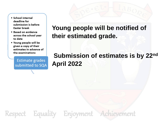- School internal deadline for submission is before **Easter break**
- . Based on evidence across the school year to date
- . Young people will be given a copy of their estimates in advance of the examinations

Estimate grades submitted to SQA

## **Young people will be notified of their estimated grade.**

Respect Equality Enjoyment Achievement

# **Submission of estimates is by 22nd April 2022**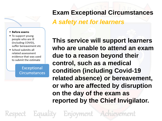### **Exam Exceptional Circumstances**

### *A safety net for learners*

#### • Before exams

- To support young people who are ill (including COVID), suffer bereavement etc
- School submits all related assessment evidence that was used to submit the estimate

**Exceptional** Circumstances **This service will support learners who are unable to attend an exam due to a reason beyond their control, such as a medical condition (including Covid-19 related absence) or bereavement, or who are affected by disruption on the day of the exam as reported by the Chief Invigilator.**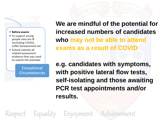#### • Before exams

- To support young people who are ill (including COVID), suffer bereavement etc
- School submits all related assessment evidence that was used to submit the estimate

**Exceptional Circumstances**  **We are mindful of the potential for increased numbers of candidates who may not be able to attend exams as a result of COVID** 

**e.g. candidates with symptoms, with positive lateral flow tests, self-isolating and those awaiting PCR test appointments and/or results.**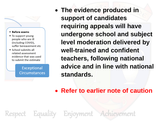#### • Before exams

- To support young people who are ill (including COVID), suffer bereavement etc
- School submits all related assessment evidence that was used to submit the estimate

**Exceptional Circumstances** 

ect Equality Enjoyment

• **The evidence produced in support of candidates requiring appeals will have undergone school and subject level moderation delivered by well-trained and confident teachers, following national advice and in line with national standards.**

• **Refer to earlier note of caution**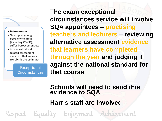#### • Before exams

- To support young people who are ill (including COVID), suffer bereavement etc
- School submits all related assessment evidence that was used to submit the estimate

**Exceptional Circumstances**  **The exam exceptional circumstances service will involve SQA appointees – practising teachers and lecturers – reviewing alternative assessment evidence that learners have completed through the year and judging it against the national standard for that course**

**Schools will need to send this evidence to SQA**

**Harris staff are involved**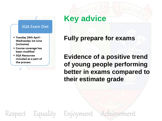#### **SQA Exam Diet**

- Tuesday 26th April -Wednesday 1st June (inclusive)
- Course coverage has been modified
- SQA Resources included as a part of the process

# **Key advice**

**Fully prepare for exams**

**Evidence of a positive trend of young people performing better in exams compared to their estimate grade**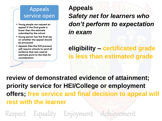- Young people can request an appeal IF the final grade is lower than the estimate submitted by the school
- . Young person has the final say on whether the appeal should be processed
- Appeals (like the ECR process) will require schools to send all evidence that was used at estimate point to the SQA for consideration

**Appeals**  *Safety net for learners who don't perform to expectation in exam*

**eligibility – certificated grade is less than estimated grade**

**review of demonstrated evidence of attainment; priority service for HEI/College or employment offers; free service and final decision to appeal will rest with the learner** 

Equality Enjoyment Achievement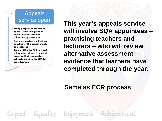- Young people can request an appeal IF the final grade is lower than the estimate submitted by the school
- . Young person has the final say on whether the appeal should be processed
- Appeals (like the ECR process) will require schools to send all evidence that was used at estimate point to the SQA for consideration

**This year's appeals service will involve SQA appointees – practising teachers and lecturers – who will review alternative assessment evidence that learners have completed through the year.** 

**Same as ECR process**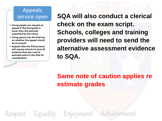- Young people can request an appeal IF the final grade is lower than the estimate submitted by the school
- . Young person has the final say on whether the appeal should be processed
- Appeals (like the ECR process) will require schools to send all evidence that was used at estimate point to the SQA for consideration

**SQA will also conduct a clerical check on the exam script. Schools, colleges and training providers will need to send the alternative assessment evidence to SQA.** 

# **Same note of caution applies re estimate grades**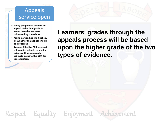- Young people can request an appeal IF the final grade is lower than the estimate submitted by the school
- . Young person has the final say on whether the appeal should be processed
- Appeals (like the ECR process) will require schools to send all evidence that was used at estimate point to the SQA for consideration

**Learners' grades through the appeals process will be based upon the higher grade of the two types of evidence.**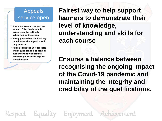- Young people can request an appeal IF the final grade is lower than the estimate submitted by the school
- . Young person has the final say on whether the appeal should be processed
- Appeals (like the ECR process) will require schools to send all evidence that was used at estimate point to the SQA for consideration

ect Equality Enjoyment

**Fairest way to help support learners to demonstrate their level of knowledge, understanding and skills for each course**

**Ensures a balance between recognising the ongoing impact of the Covid-19 pandemic and maintaining the integrity and credibility of the qualifications.**